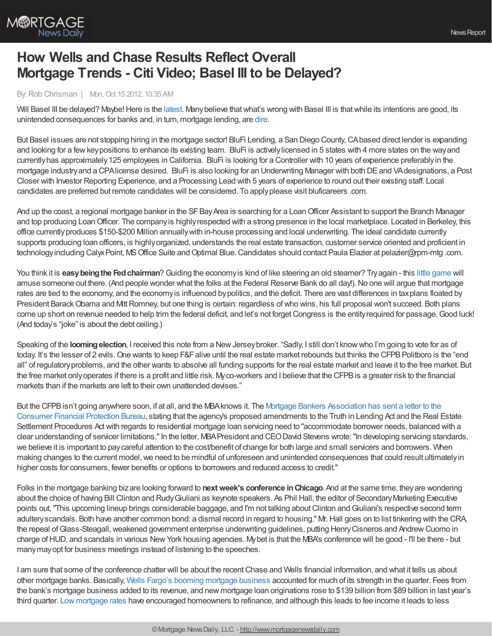

## **How Wells and Chase Results Reflect Overall Mortgage Trends - Citi Video; Basel III to be Delayed?**

## By:Rob Chrisman | Mon, Oct 15 2012, 10:35 AM

Will Basel III be delayed? Maybe! Here is the [latest](http://www.bloomberg.com/news/2012-10-11/eu-said-to-weigh-delaying-basel-bank-rules-for-up-to-a-year.html). Many believe that what's wrong with Basel III is that while its intentions are good, its unintended consequences for banks and, in turn, mortgage lending, are [dire](http://www.forbes.com/sites/shawnbaldwin/2012/10/12/basel-barriers/).

But Basel issues are not stopping hiring in the mortgage sector! BluFi Lending, a San Diego County,CAbased direct lender is expanding and looking for a fewkeypositions to enhance its existing team. BluFi is activelylicensed in 5 states with 4 more states on the wayand currently has approximately 125 employees in California. BluFi is looking for a Controller with 10 years of experience preferably in the mortgage industry and a CPAlicense desired. BluFi is also looking for an Underwriting Manager with both DE and VA designations, a Post Closer with Investor Reporting Experience, and a Processing Lead with 5 years of experience to round out their existing staff. Local candidates are preferred but remote candidates will be considered. To applyplease visit bluficareers .com.

And up the coast, a regional mortgage banker in the SF Bay Area is searching for a Loan Officer Assistant to support the Branch Manager and top producing LoanOfficer. The companyis highlyrespected with a strong presence in the local marketplace. Located in Berkeley, this office currentlyproduces \$150-\$200 Million annuallywith in-house processing and local underwriting. The ideal candidate currently supports producing loan officers, is highlyorganized, understands the real estate transaction, customer service oriented and proficient in technologyincluding Calyx Point, MS Office Suite and Optimal Blue. Candidates should contact Paula Elazier at pelazier@rpm-mtg .com.

You think it is **easybeingthe Fedchairman**?Guiding the economyis kind of like steering an old steamer? Tryagain - this little [game](http://www.frbsf.org/education/activities/chairman/index.html) will amuse someone out there. (And people wonder what the folks at the Federal Reserve Bank do all day!). No one will argue that mortgage rates are tied to the economy, and the economy is influenced by politics, and the deficit. There are vast differences in tax plans floated by President Barack Obama and Mitt Romney, but one thing is certain: regardless of who wins, his full proposal won't succeed. Both plans come up short on revenue needed to help trim the federal deficit, and let's not forget Congress is the entity required for passage. Good luck! (And today's "joke" is about the debt ceiling.)

Speaking of the **looming election**, I received this note from a New Jersey broker. "Sadly, I still don't know who I'm going to vote for as of today. It's the lesser of 2 evils. One wants to keep F&F alive until the real estate market rebounds but thinks the CFPB Politboro is the "end all" of regulatoryproblems, and the other wants to absolve all funding supports for the real estate market and leave it to the free market. But the free market onlyoperates if there is a profit and little risk. Myco-workers and I believe that the CFPBis a greater risk to the financial markets than if the markets are left to their own unattended devises."

But the CFPB isn't going anywhere soon, if at all, and the MBA knows it. The Mortgage Bankers Association has sent a letter to the Consumer Financial Protection Bureau, stating that the agency's proposed [amendments](http://www.mortgagenewsdaily.com/10102012_mortgage_servicing.asp) to the Truth in Lending Act and the Real Estate Settlement Procedures Actwith regards to residential mortgage loan servicing need to "accommodate borrower needs, balanced with a clear understanding of servicer limitations."In the letter, MBAPresident and CEODavid Stevens wrote:"In developing servicing standards, we believe it is important to paycareful attention to the cost/benefit of change for both large and small servicers and borrowers. When making changes to the current model, we need to be mindful of unforeseen and unintended consequences that could result ultimately in higher costs for consumers, fewer benefits or options to borrowers and reduced access to credit."

Folks in the mortgage banking bizare looking forward to **nextweek's conference inChicago**. And at the same time, theyare wondering about the choice of having Bill Clinton and Rudy Giuliani as keynote speakers. As Phil Hall, the editor of Secondary Marketing Executive points out, "This upcoming lineup brings considerable baggage, and I'm not talking about Clinton and Giuliani's respective second term adulteryscandals. Both have another common bond: a dismal record in regard to housing." Mr.Hall goes on to list tinkering with the CRA, the repeal of Glass-Steagall, weakened government enterprise underwriting guidelines, putting Henry Cisneros and Andrew Cuomo in charge ofHUD, and scandals in various NewYork housing agencies. Mybet is that the MBA's conference will be good - I'll be there - but manymayopt for business meetings instead of listening to the speeches.

I am sure that some of the conference chatter will be about the recent Chase and Wells financial information, and what it tells us about other mortgage banks. Basically, Wells Fargo's booming [mortgage](http://www.mortgagenewsdaily.com/10122012_mortgage_lending.asp) business accounted for much of its strength in the quarter. Fees from the bank's mortgage business added to its revenue, and new mortgage loan originations rose to \$139 billion from \$89 billion in last year's third quarter. Low [mortgage](http://www.mortgagenewsdaily.com/mortgage_rates/) rates have encouraged homeowners to refinance, and although this leads to fee income it leads to less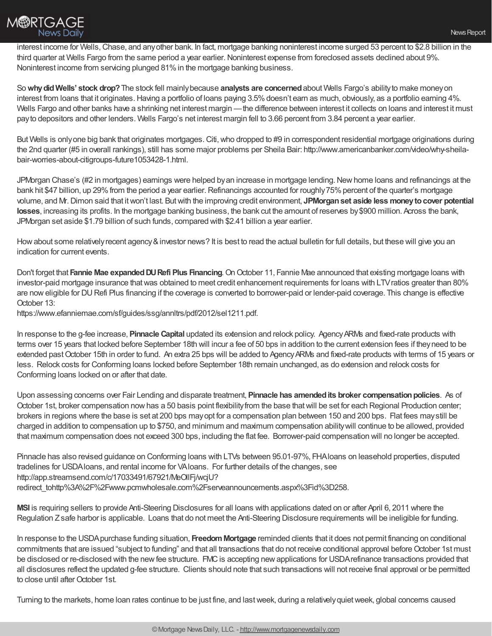

interest income for Wells, Chase, and any other bank. In fact, mortgage banking noninterest income surged 53 percent to \$2.8 billion in the third quarter at Wells Fargo from the same period a year earlier. Noninterest expense from foreclosed assets declined about 9%. Noninterest income from servicing plunged 81% in the mortgage banking business.

So**whydidWells' stock drop?**The stock fell mainlybecause **analysts are concerned**about Wells Fargo's abilityto make moneyon interest from loans that it originates. Having a portfolio of loans paying 3.5% doesn't earn as much, obviously, as a portfolio earning 4%. Wells Fargo and other banks have a shrinking net interest margin — the difference between interest it collects on loans and interest it must payto depositors and other lenders. Wells Fargo's net interest margin fell to 3.66 percent from 3.84 percent a year earlier.

But Wells is onlyone big bank that originates mortgages. Citi, who dropped to #9 in correspondent residential mortgage originations during the 2nd quarter (#5 in overall rankings), still has some major problems per Sheila Bair: http://www.americanbanker.com/video/why-sheilabair-worries-about-citigroups-future1053428-1.html.

JPMorgan Chase's (#2 in mortgages) earnings were helped by an increase in mortgage lending. New home loans and refinancings at the bank hit \$47 billion, up 29% from the period a year earlier. Refinancings accounted for roughly 75% percent of the quarter's mortgage volume, and Mr.Dimon said that itwon't last. Butwith the improving credit environment, **JPMorganset aside less moneytocover potential losses**, increasing its profits. In the mortgage banking business, the bank cut the amount of reserves by\$900 million. Across the bank, JPMorgan set aside \$1.79 billion of such funds, compared with \$2.41 billion a year earlier.

How about some relatively recent agency & investor news? It is best to read the actual bulletin for full details, but these will give you an indication for current events.

Don't forget that **Fannie Mae expandedDURefi Plus Financing**.OnOctober 11, Fannie Mae announced that existing mortgage loans with investor-paid mortgage insurance thatwas obtained to meet credit enhancement requirements for loans with LTVratios greater than 80% are noweligible for DURefi Plus financing if the coverage is converted to borrower-paid or lender-paid coverage. This change is effective October 13:

https://www.efanniemae.com/sf/guides/ssg/annltrs/pdf/2012/sel1211.pdf.

In response to the g-fee increase, **Pinnacle Capital** updated its extension and relock policy. AgencyARMs and fixed-rate products with terms over 15 years that locked before September 18th will incur a fee of 50 bps in addition to the current extension fees if theyneed to be extended past October 15th in order to fund. An extra 25 bps will be added to Agency ARMs and fixed-rate products with terms of 15 years or less. Relock costs for Conforming loans locked before September 18th remain unchanged, as do extension and relock costs for Conforming loans locked on or after that date.

Upon assessing concerns over Fair Lending and disparate treatment, **Pinnacle has amendedits broker compensationpolicies**. As of October 1st, broker compensation nowhas a 50 basis point flexibilityfrom the base thatwill be set for each Regional Production center; brokers in regions where the base is set at 200 bps mayopt for a compensation plan between 150 and 200 bps. Flat fees maystill be charged in addition to compensation up to \$750, and minimum and maximum compensation abilitywill continue to be allowed, provided that maximum compensation does not exceed 300 bps, including the flat fee. Borrower-paid compensation will no longer be accepted.

Pinnacle has also revised guidance on Conforming loans with LTVs between 95.01-97%, FHAloans on leasehold properties, disputed tradelines for USDAloans, and rental income for VAloans. For further details of the changes, see http://app.streamsend.com/c/17033491/67921/MeOllFj/wcjU? redirect\_tohttp%3A%2F%2Fwww.pcmwholesale.com%2Fserveannouncements.aspx%3Fid%3D258.

**MSI** is requiring sellers to provide Anti-Steering Disclosures for all loans with applications dated on or after April 6, 2011 where the Regulation Zsafe harbor is applicable. Loans that do not meet the Anti-Steering Disclosure requirements will be ineligible for funding.

In response to the USDApurchase funding situation, **FreedomMortgage** reminded clients that it does not permit financing on conditional commitments that are issued "subject to funding" and that all transactions that do not receive conditional approval before October 1st must be disclosed or re-disclosed with the new fee structure. FMC is accepting new applications for USDA refinance transactions provided that all disclosures reflect the updated g-fee structure. Clients should note that such transactions will not receive final approval or be permitted to close until after October 1st.

Turning to the markets, home loan rates continue to be just fine, and lastweek, during a relativelyquietweek, global concerns caused